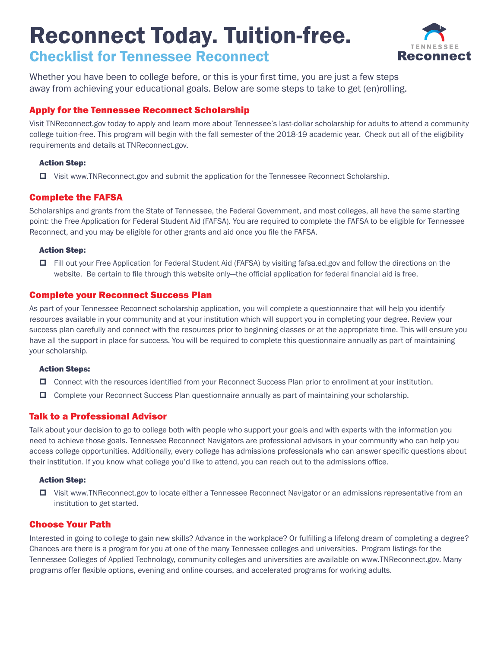# Reconnect Today. Tuition-free. Checklist for Tennessee Reconnect



Whether you have been to college before, or this is your first time, you are just a few steps away from achieving your educational goals. Below are some steps to take to get (en)rolling.

# Apply for the Tennessee Reconnect Scholarship

Visit TNReconnect.gov today to apply and learn more about Tennessee's last-dollar scholarship for adults to attend a community college tuition-free. This program will begin with the fall semester of the 2018-19 academic year. Check out all of the eligibility requirements and details at TNReconnect.gov.

## Action Step:

Visit www.TNReconnect.gov and submit the application for the Tennessee Reconnect Scholarship.

# Complete the FAFSA

Scholarships and grants from the State of Tennessee, the Federal Government, and most colleges, all have the same starting point: the Free Application for Federal Student Aid (FAFSA). You are required to complete the FAFSA to be eligible for Tennessee Reconnect, and you may be eligible for other grants and aid once you file the FAFSA.

## Action Step:

 Fill out your Free Application for Federal Student Aid (FAFSA) by visiting fafsa.ed.gov and follow the directions on the website. Be certain to file through this website only—the official application for federal financial aid is free.

# Complete your Reconnect Success Plan

As part of your Tennessee Reconnect scholarship application, you will complete a questionnaire that will help you identify resources available in your community and at your institution which will support you in completing your degree. Review your success plan carefully and connect with the resources prior to beginning classes or at the appropriate time. This will ensure you have all the support in place for success. You will be required to complete this questionnaire annually as part of maintaining your scholarship.

### Action Steps:

- Connect with the resources identified from your Reconnect Success Plan prior to enrollment at your institution.
- Complete your Reconnect Success Plan questionnaire annually as part of maintaining your scholarship.

# Talk to a Professional Advisor

Talk about your decision to go to college both with people who support your goals and with experts with the information you need to achieve those goals. Tennessee Reconnect Navigators are professional advisors in your community who can help you access college opportunities. Additionally, every college has admissions professionals who can answer specific questions about their institution. If you know what college you'd like to attend, you can reach out to the admissions office.

## Action Step:

 Visit www.TNReconnect.gov to locate either a Tennessee Reconnect Navigator or an admissions representative from an institution to get started.

# Choose Your Path

Interested in going to college to gain new skills? Advance in the workplace? Or fulfilling a lifelong dream of completing a degree? Chances are there is a program for you at one of the many Tennessee colleges and universities. Program listings for the Tennessee Colleges of Applied Technology, community colleges and universities are available on www.TNReconnect.gov. Many programs offer flexible options, evening and online courses, and accelerated programs for working adults.